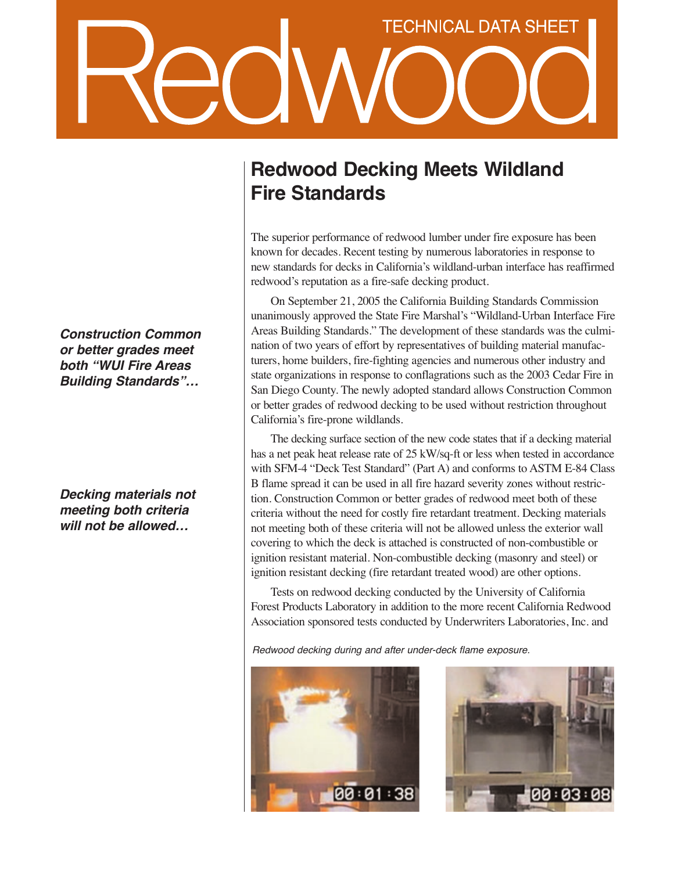## **TECHNICAL DATA SHEET**

*Construction Common or better grades meet both "WUI Fire Areas Building Standards"…*

*Decking materials not meeting both criteria will not be allowed…*

## **Redwood Decking Meets Wildland Fire Standards**

The superior performance of redwood lumber under fire exposure has been known for decades. Recent testing by numerous laboratories in response to new standards for decks in California's wildland-urban interface has reaffirmed redwood's reputation as a fire-safe decking product.

On September 21, 2005 the California Building Standards Commission unanimously approved the State Fire Marshal's "Wildland-Urban Interface Fire Areas Building Standards." The development of these standards was the culmination of two years of effort by representatives of building material manufacturers, home builders, fire-fighting agencies and numerous other industry and state organizations in response to conflagrations such as the 2003 Cedar Fire in San Diego County. The newly adopted standard allows Construction Common or better grades of redwood decking to be used without restriction throughout California's fire-prone wildlands.

The decking surface section of the new code states that if a decking material has a net peak heat release rate of 25 kW/sq-ft or less when tested in accordance with SFM-4 "Deck Test Standard" (Part A) and conforms to ASTM E-84 Class B flame spread it can be used in all fire hazard severity zones without restriction. Construction Common or better grades of redwood meet both of these criteria without the need for costly fire retardant treatment. Decking materials not meeting both of these criteria will not be allowed unless the exterior wall covering to which the deck is attached is constructed of non-combustible or ignition resistant material. Non-combustible decking (masonry and steel) or ignition resistant decking (fire retardant treated wood) are other options.

Tests on redwood decking conducted by the University of California Forest Products Laboratory in addition to the more recent California Redwood Association sponsored tests conducted by Underwriters Laboratories, Inc. and

Redwood decking during and after under-deck flame exposure.